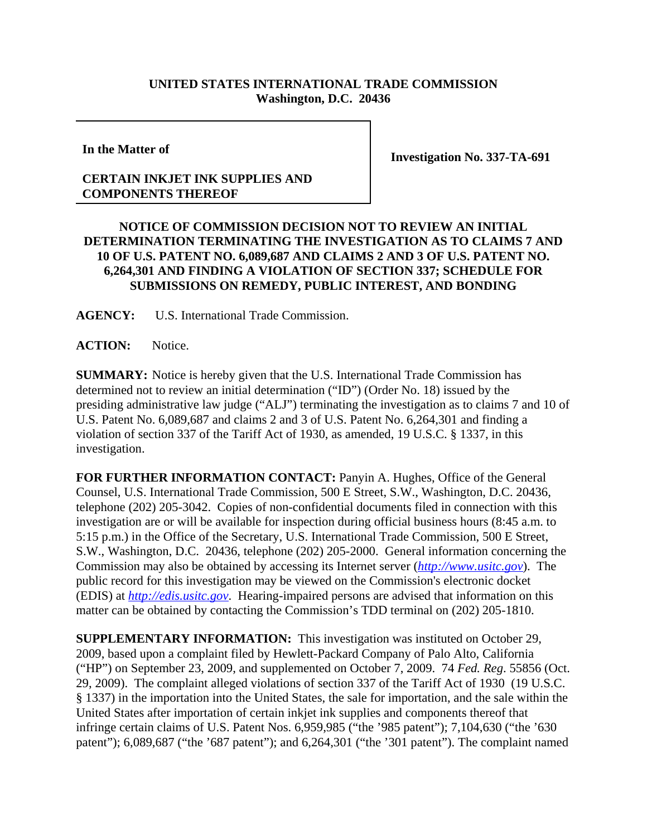## **UNITED STATES INTERNATIONAL TRADE COMMISSION Washington, D.C. 20436**

**In the Matter of**

## **CERTAIN INKJET INK SUPPLIES AND COMPONENTS THEREOF**

**Investigation No. 337-TA-691**

## **NOTICE OF COMMISSION DECISION NOT TO REVIEW AN INITIAL DETERMINATION TERMINATING THE INVESTIGATION AS TO CLAIMS 7 AND 10 OF U.S. PATENT NO. 6,089,687 AND CLAIMS 2 AND 3 OF U.S. PATENT NO. 6,264,301 AND FINDING A VIOLATION OF SECTION 337; SCHEDULE FOR SUBMISSIONS ON REMEDY, PUBLIC INTEREST, AND BONDING**

**AGENCY:** U.S. International Trade Commission.

**ACTION:** Notice.

**SUMMARY:** Notice is hereby given that the U.S. International Trade Commission has determined not to review an initial determination ("ID") (Order No. 18) issued by the presiding administrative law judge ("ALJ") terminating the investigation as to claims 7 and 10 of U.S. Patent No. 6,089,687 and claims 2 and 3 of U.S. Patent No. 6,264,301 and finding a violation of section 337 of the Tariff Act of 1930, as amended, 19 U.S.C. § 1337, in this investigation.

**FOR FURTHER INFORMATION CONTACT:** Panyin A. Hughes, Office of the General Counsel, U.S. International Trade Commission, 500 E Street, S.W., Washington, D.C. 20436, telephone (202) 205-3042. Copies of non-confidential documents filed in connection with this investigation are or will be available for inspection during official business hours (8:45 a.m. to 5:15 p.m.) in the Office of the Secretary, U.S. International Trade Commission, 500 E Street, S.W., Washington, D.C. 20436, telephone (202) 205-2000. General information concerning the Commission may also be obtained by accessing its Internet server (*http://www.usitc.gov*). The public record for this investigation may be viewed on the Commission's electronic docket (EDIS) at *http://edis.usitc.gov*. Hearing-impaired persons are advised that information on this matter can be obtained by contacting the Commission's TDD terminal on (202) 205-1810.

**SUPPLEMENTARY INFORMATION:** This investigation was instituted on October 29, 2009, based upon a complaint filed by Hewlett-Packard Company of Palo Alto, California ("HP") on September 23, 2009, and supplemented on October 7, 2009. 74 *Fed. Reg*. 55856 (Oct. 29, 2009). The complaint alleged violations of section 337 of the Tariff Act of 1930 (19 U.S.C. § 1337) in the importation into the United States, the sale for importation, and the sale within the United States after importation of certain inkjet ink supplies and components thereof that infringe certain claims of U.S. Patent Nos. 6,959,985 ("the '985 patent"); 7,104,630 ("the '630 patent"); 6,089,687 ("the '687 patent"); and 6,264,301 ("the '301 patent"). The complaint named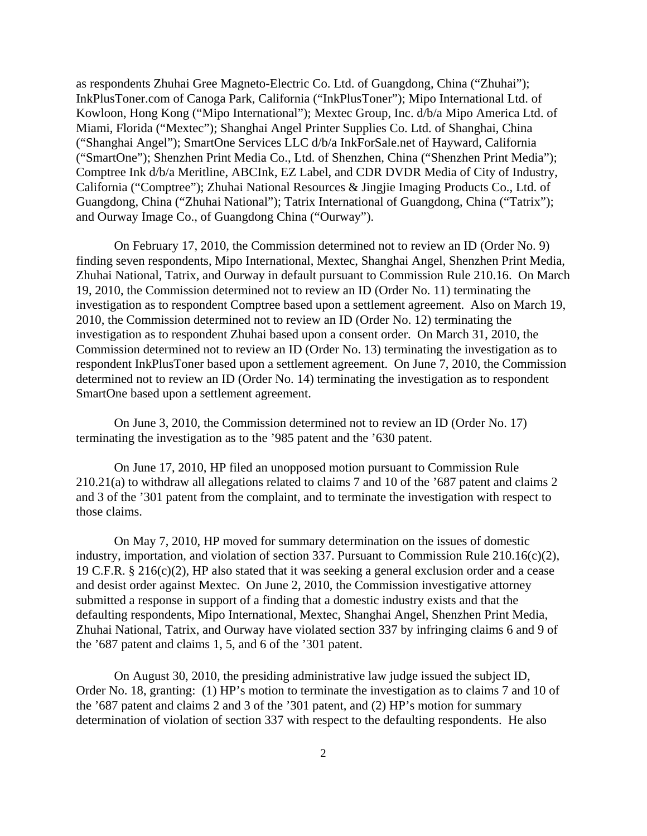as respondents Zhuhai Gree Magneto-Electric Co. Ltd. of Guangdong, China ("Zhuhai"); InkPlusToner.com of Canoga Park, California ("InkPlusToner"); Mipo International Ltd. of Kowloon, Hong Kong ("Mipo International"); Mextec Group, Inc. d/b/a Mipo America Ltd. of Miami, Florida ("Mextec"); Shanghai Angel Printer Supplies Co. Ltd. of Shanghai, China ("Shanghai Angel"); SmartOne Services LLC d/b/a InkForSale.net of Hayward, California ("SmartOne"); Shenzhen Print Media Co., Ltd. of Shenzhen, China ("Shenzhen Print Media"); Comptree Ink d/b/a Meritline, ABCInk, EZ Label, and CDR DVDR Media of City of Industry, California ("Comptree"); Zhuhai National Resources & Jingjie Imaging Products Co., Ltd. of Guangdong, China ("Zhuhai National"); Tatrix International of Guangdong, China ("Tatrix"); and Ourway Image Co., of Guangdong China ("Ourway").

On February 17, 2010, the Commission determined not to review an ID (Order No. 9) finding seven respondents, Mipo International, Mextec, Shanghai Angel, Shenzhen Print Media, Zhuhai National, Tatrix, and Ourway in default pursuant to Commission Rule 210.16. On March 19, 2010, the Commission determined not to review an ID (Order No. 11) terminating the investigation as to respondent Comptree based upon a settlement agreement. Also on March 19, 2010, the Commission determined not to review an ID (Order No. 12) terminating the investigation as to respondent Zhuhai based upon a consent order. On March 31, 2010, the Commission determined not to review an ID (Order No. 13) terminating the investigation as to respondent InkPlusToner based upon a settlement agreement. On June 7, 2010, the Commission determined not to review an ID (Order No. 14) terminating the investigation as to respondent SmartOne based upon a settlement agreement.

On June 3, 2010, the Commission determined not to review an ID (Order No. 17) terminating the investigation as to the '985 patent and the '630 patent.

On June 17, 2010, HP filed an unopposed motion pursuant to Commission Rule 210.21(a) to withdraw all allegations related to claims 7 and 10 of the '687 patent and claims 2 and 3 of the '301 patent from the complaint, and to terminate the investigation with respect to those claims.

On May 7, 2010, HP moved for summary determination on the issues of domestic industry, importation, and violation of section 337. Pursuant to Commission Rule 210.16(c)(2), 19 C.F.R. § 216(c)(2), HP also stated that it was seeking a general exclusion order and a cease and desist order against Mextec. On June 2, 2010, the Commission investigative attorney submitted a response in support of a finding that a domestic industry exists and that the defaulting respondents, Mipo International, Mextec, Shanghai Angel, Shenzhen Print Media, Zhuhai National, Tatrix, and Ourway have violated section 337 by infringing claims 6 and 9 of the '687 patent and claims 1, 5, and 6 of the '301 patent.

On August 30, 2010, the presiding administrative law judge issued the subject ID, Order No. 18, granting: (1) HP's motion to terminate the investigation as to claims 7 and 10 of the '687 patent and claims 2 and 3 of the '301 patent, and (2) HP's motion for summary determination of violation of section 337 with respect to the defaulting respondents. He also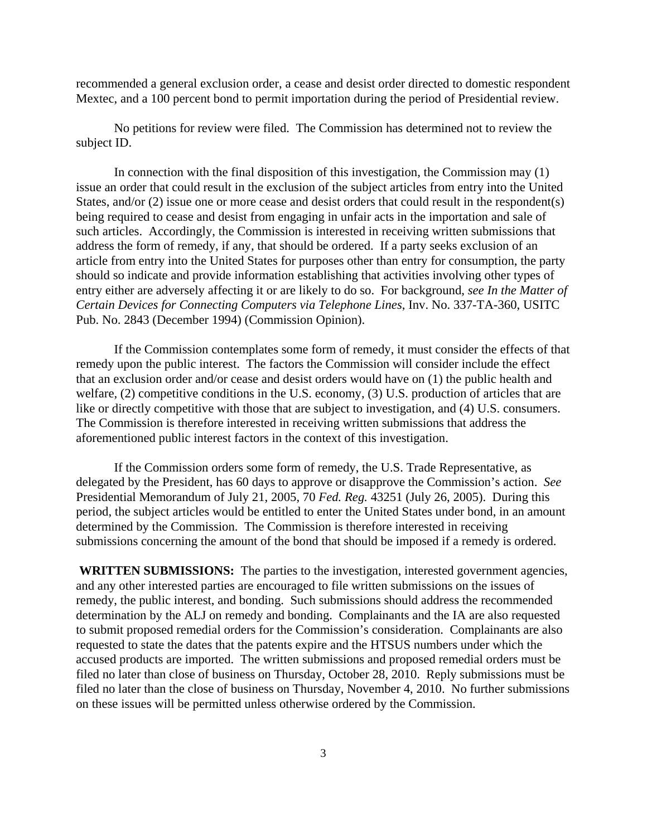recommended a general exclusion order, a cease and desist order directed to domestic respondent Mextec, and a 100 percent bond to permit importation during the period of Presidential review.

No petitions for review were filed. The Commission has determined not to review the subject ID.

In connection with the final disposition of this investigation, the Commission may (1) issue an order that could result in the exclusion of the subject articles from entry into the United States, and/or (2) issue one or more cease and desist orders that could result in the respondent(s) being required to cease and desist from engaging in unfair acts in the importation and sale of such articles. Accordingly, the Commission is interested in receiving written submissions that address the form of remedy, if any, that should be ordered. If a party seeks exclusion of an article from entry into the United States for purposes other than entry for consumption, the party should so indicate and provide information establishing that activities involving other types of entry either are adversely affecting it or are likely to do so. For background, *see In the Matter of Certain Devices for Connecting Computers via Telephone Lines*, Inv. No. 337-TA-360, USITC Pub. No. 2843 (December 1994) (Commission Opinion).

If the Commission contemplates some form of remedy, it must consider the effects of that remedy upon the public interest. The factors the Commission will consider include the effect that an exclusion order and/or cease and desist orders would have on (1) the public health and welfare, (2) competitive conditions in the U.S. economy, (3) U.S. production of articles that are like or directly competitive with those that are subject to investigation, and (4) U.S. consumers. The Commission is therefore interested in receiving written submissions that address the aforementioned public interest factors in the context of this investigation.

If the Commission orders some form of remedy, the U.S. Trade Representative, as delegated by the President, has 60 days to approve or disapprove the Commission's action. *See* Presidential Memorandum of July 21, 2005, 70 *Fed. Reg.* 43251 (July 26, 2005). During this period, the subject articles would be entitled to enter the United States under bond, in an amount determined by the Commission. The Commission is therefore interested in receiving submissions concerning the amount of the bond that should be imposed if a remedy is ordered.

 **WRITTEN SUBMISSIONS:** The parties to the investigation, interested government agencies, and any other interested parties are encouraged to file written submissions on the issues of remedy, the public interest, and bonding. Such submissions should address the recommended determination by the ALJ on remedy and bonding. Complainants and the IA are also requested to submit proposed remedial orders for the Commission's consideration. Complainants are also requested to state the dates that the patents expire and the HTSUS numbers under which the accused products are imported. The written submissions and proposed remedial orders must be filed no later than close of business on Thursday, October 28, 2010. Reply submissions must be filed no later than the close of business on Thursday, November 4, 2010. No further submissions on these issues will be permitted unless otherwise ordered by the Commission.